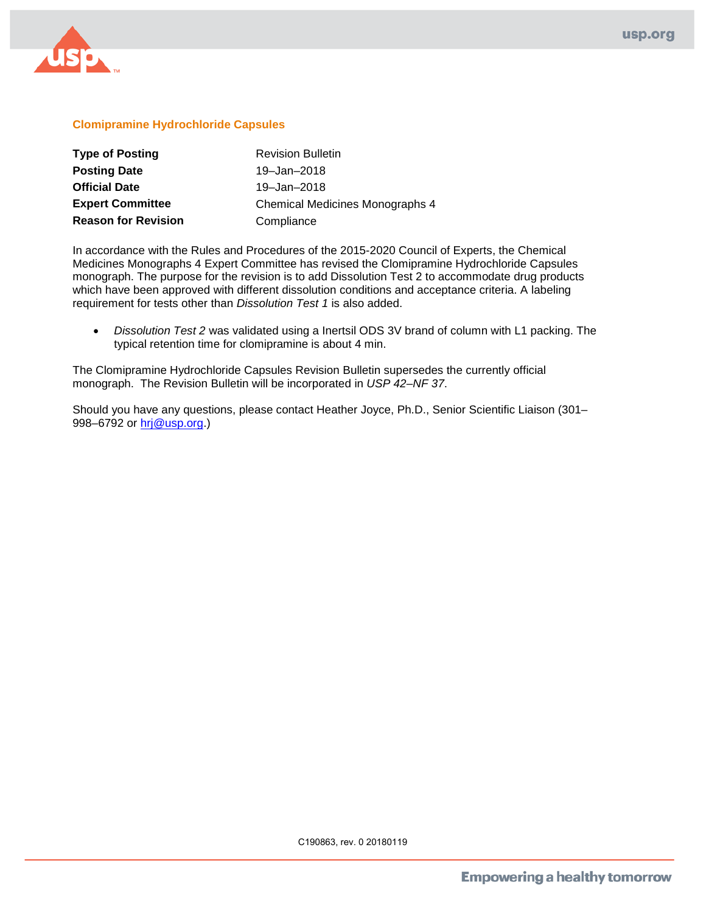

## **Clomipramine Hydrochloride Capsules**

| <b>Type of Posting</b>     | <b>Revision Bulletin</b>        |
|----------------------------|---------------------------------|
| <b>Posting Date</b>        | 19-Jan-2018                     |
| <b>Official Date</b>       | 19-Jan-2018                     |
| <b>Expert Committee</b>    | Chemical Medicines Monographs 4 |
| <b>Reason for Revision</b> | Compliance                      |

In accordance with the Rules and Procedures of the 2015-2020 Council of Experts, the Chemical Medicines Monographs 4 Expert Committee has revised the Clomipramine Hydrochloride Capsules monograph. The purpose for the revision is to add Dissolution Test 2 to accommodate drug products which have been approved with different dissolution conditions and acceptance criteria. A labeling requirement for tests other than *Dissolution Test 1* is also added.

• *Dissolution Test 2* was validated using a Inertsil ODS 3V brand of column with L1 packing. The typical retention time for clomipramine is about 4 min.

The Clomipramine Hydrochloride Capsules Revision Bulletin supersedes the currently official monograph. The Revision Bulletin will be incorporated in *USP 42–NF 37*.

Should you have any questions, please contact Heather Joyce, Ph.D., Senior Scientific Liaison (301– 998–6792 or [hrj@usp.org.](mailto:hrj@usp.org))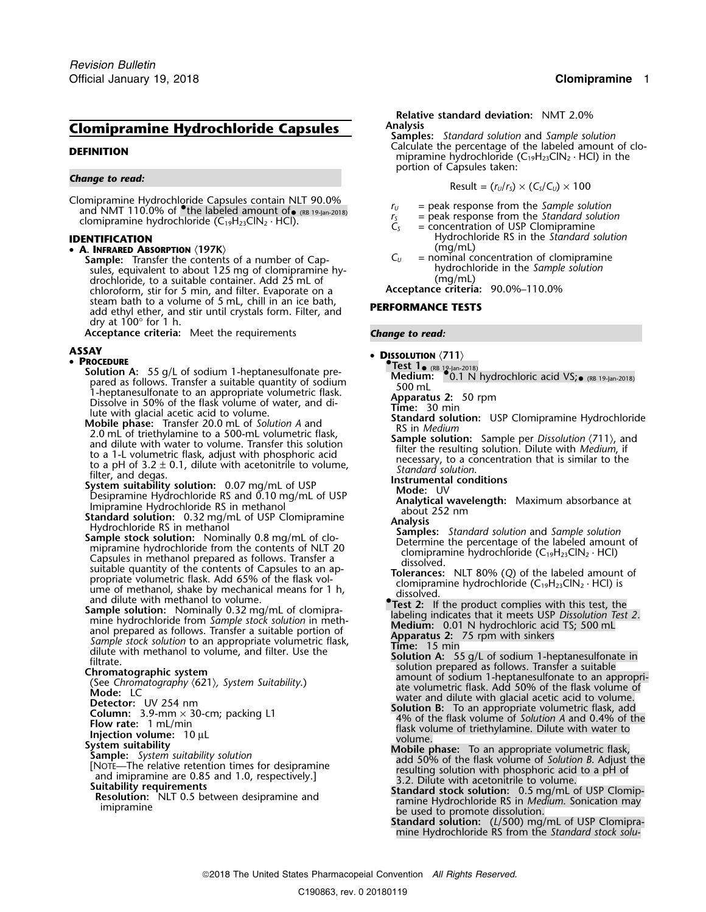# **Clomipramine Hydrochloride Capsules Analysis**

Clomipramine Hydrochloride Capsules contain NLT 90.0%  $r_U =$  peak response from the *Sample solution*<br>and NMT 110.0% of <sup>•</sup>the labeled amount of• ( $\frac{1}{15}$  = peak response from the *Standard solution*<br>clomintamine hydroc consideration in the *RB 19-Jan-2018 randally compared to the Standard solution* clomipramine hydrochloride (C<sub>19</sub>H<sub>23</sub>ClN<sub>2</sub> · HCl).  $C_s$  = concentration of USP Clomipramine

### • **<sup>A</sup>** (mg/mL) **. INFRARED ABSORPTION** 〈**197K**〉

**Sample:** Transfer the contents of a number of Cap- $C_U$  = nominal concentration of clomipramine<br>sules, equivalent to about 125 mg of clomipramine hy-<br>sules, equivalent to about 125 mg of clomipramine hysules, equivalent to about 125 mg of clomipramine hy-<br>drochloride, to a suitable container. Add 25 mL of *(mg/mL)* drochloride, to a suitable container. Add 25 mL of frace (mg/mL)<br>chloroform, stir for 5 min. and filter. Evaporate on a **Acceptance criteria:** 90.0%–110.0% chloroform, stir for 5 min, and filter. Evaporate on a **Acceptance criteria:** 90.0%–110.0% steam bath to a volume of 5 mL, chill in an ice bath, **PERFORMANCE TESTS**<br>add ethyl ether, and stir until crystals form. Filter, and P**ERFORMANCE TESTS** dry at  $100^\circ$  for 1 h.

**Acceptance criteria:** Meet the requirements *Change to read:*

### **ASSAY** •

### **PROCEDURE •**

- **Solution A:** 55 g/L of sodium 1-heptanesulfonate pre-<br>**Solution A:** 55 g/L of sodium 1-heptanesulfonate pre- **Medium:** •0.1 N hydrochloric acid VS;•
- 
- 
- 
- pared as follows. Transfer a suitable quantity of sociium<br>
1-heptanesulforate to an appropriate volume, when the sake the summer of the sake volume of water, and di-<br>
Inter with glacial acetic acid to volume. Then it is o
- and unit with the product complete state in the product complete that the state of the state of the state of the state of the state of the state of the state of the state of the state of the state and prepared as follows.

- 
- 
- 

- 
- 

- 
- 
- 

**Relative standard deviation:** NMT 2.0%

**Samples:** *Standard solution* and *Sample solution* **Calculate the percentage of the labeled amount of clo-**<br>Calculate the percentage of the labeled amount of clo-<br>mipramine hydrochloride (C<sub>19</sub>H<sub>23</sub>ClN<sub>2</sub> · HCl) in the portion of Capsules taken:

*Change to read:* Result = (*<sup>r</sup>U*/*<sup>r</sup>S*) × (*CS*/*CU*) ×<sup>100</sup>

- 
- 
- **IDENTIFICATION IDENTIFICATION EXECUTE: IDENTIFICATION Hydrochloride RS** in the *Standard solution* 
	-

- **DISSOLUTION**  $\langle 711 \rangle$ 
	-
	-
	-
	-
	-
	-
	-
	- -
	-
	-
	-
	-
	-

- 
- 
- 
- 
- **Standard solution:** (*L*/500) mg/mL of USP Clomipramine Hydrochloride RS from the *Standard stock solu-*